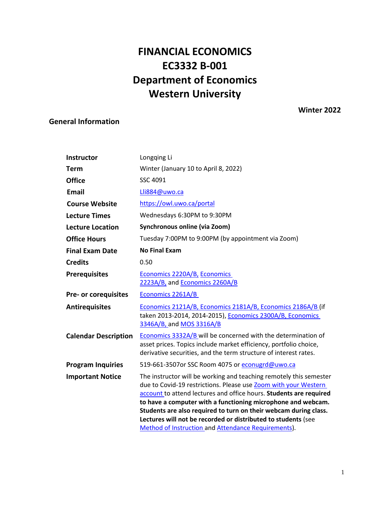# **FINANCIAL ECONOMICS EC3332 B-001 Department of Economics Western University**

# **Winter 2022**

# <span id="page-0-0"></span>**General Information**

| Instructor                  | Longqing Li                                                                                                                                                                                                                                                                                                                                                                                                      |
|-----------------------------|------------------------------------------------------------------------------------------------------------------------------------------------------------------------------------------------------------------------------------------------------------------------------------------------------------------------------------------------------------------------------------------------------------------|
| <b>Term</b>                 | Winter (January 10 to April 8, 2022)                                                                                                                                                                                                                                                                                                                                                                             |
| <b>Office</b>               | SSC 4091                                                                                                                                                                                                                                                                                                                                                                                                         |
| <b>Email</b>                | Lli884@uwo.ca                                                                                                                                                                                                                                                                                                                                                                                                    |
| <b>Course Website</b>       | https://owl.uwo.ca/portal                                                                                                                                                                                                                                                                                                                                                                                        |
| <b>Lecture Times</b>        | Wednesdays 6:30PM to 9:30PM                                                                                                                                                                                                                                                                                                                                                                                      |
| <b>Lecture Location</b>     | Synchronous online (via Zoom)                                                                                                                                                                                                                                                                                                                                                                                    |
| <b>Office Hours</b>         | Tuesday 7:00PM to 9:00PM (by appointment via Zoom)                                                                                                                                                                                                                                                                                                                                                               |
| <b>Final Exam Date</b>      | <b>No Final Exam</b>                                                                                                                                                                                                                                                                                                                                                                                             |
| <b>Credits</b>              | 0.50                                                                                                                                                                                                                                                                                                                                                                                                             |
| <b>Prerequisites</b>        | Economics 2220A/B, Economics<br>2223A/B, and Economics 2260A/B                                                                                                                                                                                                                                                                                                                                                   |
| Pre- or corequisites        | Economics 2261A/B                                                                                                                                                                                                                                                                                                                                                                                                |
| <b>Antirequisites</b>       | Economics 2121A/B, Economics 2181A/B, Economics 2186A/B (if<br>taken 2013-2014, 2014-2015), Economics 2300A/B, Economics<br>3346A/B, and MOS 3316A/B                                                                                                                                                                                                                                                             |
| <b>Calendar Description</b> | Economics 3332A/B will be concerned with the determination of<br>asset prices. Topics include market efficiency, portfolio choice,<br>derivative securities, and the term structure of interest rates.                                                                                                                                                                                                           |
| <b>Program Inquiries</b>    | 519-661-3507or SSC Room 4075 or econugrd@uwo.ca                                                                                                                                                                                                                                                                                                                                                                  |
| <b>Important Notice</b>     | The instructor will be working and teaching remotely this semester<br>due to Covid-19 restrictions. Please use Zoom with your Western<br>account to attend lectures and office hours. Students are required<br>to have a computer with a functioning microphone and webcam.<br>Students are also required to turn on their webcam during class.<br>Lectures will not be recorded or distributed to students (see |
|                             | Method of Instruction and Attendance Requirements).                                                                                                                                                                                                                                                                                                                                                              |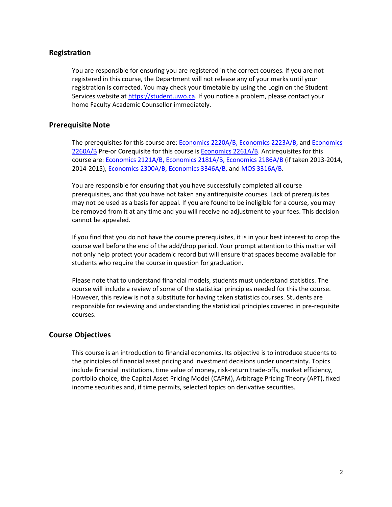# **Registration**

You are responsible for ensuring you are registered in the correct courses. If you are not registered in this course, the Department will not release any of your marks until your registration is corrected. You may check your timetable by using the Login on the Student Services website at [https://student.uwo.ca.](https://student.uwo.ca/) If you notice a problem, please contact your home Faculty Academic Counsellor immediately.

# **Prerequisite Note**

The prerequisites for this course are[: Economics 2220A/B,](https://westerncalendar.uwo.ca/Courses.cfm?CourseAcadCalendarID=MAIN_011251_1&SelectedCalendar=Live&ArchiveID=) [Economics 2223A/B,](https://westerncalendar.uwo.ca/Courses.cfm?CourseAcadCalendarID=MAIN_012276_1&SelectedCalendar=Live&ArchiveID=) and [Economics](https://westerncalendar.uwo.ca/Courses.cfm?CourseAcadCalendarID=MAIN_005533_1&SelectedCalendar=Live&ArchiveID=)  [2260A/B](https://westerncalendar.uwo.ca/Courses.cfm?CourseAcadCalendarID=MAIN_005533_1&SelectedCalendar=Live&ArchiveID=) Pre-or Corequisite for this course is **Economics 2261A/B**. Antirequisites for this course are: [Economics 2121A/B,](https://www.westerncalendar.uwo.ca/Courses.cfm?CourseAcadCalendarID=HURON_014956_1&SelectedCalendar=Live&ArchiveID) [Economics](https://www.westerncalendar.uwo.ca/Courses.cfm?CourseAcadCalendarID=MAIN_026777_1&SelectedCalendar=Live&ArchiveID) [2181A/B,](https://www.westerncalendar.uwo.ca/Courses.cfm?CourseAcadCalendarID=MAIN_026777_1&SelectedCalendar=Live&ArchiveID) [Economics 2186A/B \(](https://www.westerncalendar.uwo.ca/Courses.cfm?CourseAcadCalendarID=MAIN_005730_1&SelectedCalendar=Live&ArchiveID)if taken 2013-2014, 2014-2015), [Economics](https://www.westerncalendar.uwo.ca/Courses.cfm?CourseAcadCalendarID=KINGS_022920_1&SelectedCalendar=Live&ArchiveID) [2300A/B,](https://www.westerncalendar.uwo.ca/Courses.cfm?CourseAcadCalendarID=KINGS_022920_1&SelectedCalendar=Live&ArchiveID) [Economics 3346A/B, a](https://www.westerncalendar.uwo.ca/Courses.cfm?CourseAcadCalendarID=HURON_007862_1&SelectedCalendar=Live&ArchiveID)nd [MOS 3316A/B.](https://www.westerncalendar.uwo.ca/Courses.cfm?CourseAcadCalendarID=HURON_023793_1&SelectedCalendar=Live&ArchiveID)

You are responsible for ensuring that you have successfully completed all course prerequisites, and that you have not taken any antirequisite courses. Lack of prerequisites may not be used as a basis for appeal. If you are found to be ineligible for a course, you may be removed from it at any time and you will receive no adjustment to your fees. This decision cannot be appealed.

If you find that you do not have the course prerequisites, it is in your best interest to drop the course well before the end of the add/drop period. Your prompt attention to this matter will not only help protect your academic record but will ensure that spaces become available for students who require the course in question for graduation.

Please note that to understand financial models, students must understand statistics. The course will include a review of some of the statistical principles needed for this the course. However, this review is not a substitute for having taken statistics courses. Students are responsible for reviewing and understanding the statistical principles covered in pre-requisite courses.

# **Course Objectives**

This course is an introduction to financial economics. Its objective is to introduce students to the principles of financial asset pricing and investment decisions under uncertainty. Topics include financial institutions, time value of money, risk-return trade-offs, market efficiency, portfolio choice, the Capital Asset Pricing Model (CAPM), Arbitrage Pricing Theory (APT), fixed income securities and, if time permits, selected topics on derivative securities.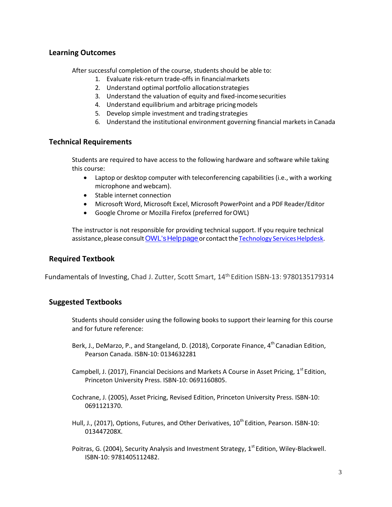# **Learning Outcomes**

After successful completion of the course, students should be able to:

- 1. Evaluate risk-return trade-offs in financialmarkets
- 2. Understand optimal portfolio allocationstrategies
- 3. Understand the valuation of equity and fixed-incomesecurities
- 4. Understand equilibrium and arbitrage pricingmodels
- 5. Develop simple investment and tradingstrategies
- 6. Understand the institutional environment governing financial markets in Canada

# **Technical Requirements**

Students are required to have access to the following hardware and software while taking this course:

- Laptop or desktop computer with teleconferencing capabilities (i.e., with a working microphone and webcam).
- Stable internet connection
- Microsoft Word, Microsoft Excel, Microsoft PowerPoint and a PDF Reader/Editor
- Google Chrome or Mozilla Firefox (preferred forOWL)

The instructor is not responsible for providing technical support. If you require technical assistance, please consult OWL's Help page or contact the Technology Services Helpdesk.

# **Required Textbook**

Fundamentals of Investing, Chad J. Zutter, Scott Smart, 14<sup>th</sup> Edition ISBN-13: 9780135179314

# **Suggested Textbooks**

Students should consider using the following books to support their learning for this course and for future reference:

- Berk, J., DeMarzo, P., and Stangeland, D. (2018), Corporate Finance, 4<sup>th</sup> Canadian Edition, Pearson Canada. ISBN-10: 0134632281
- Campbell, J. (2017), Financial Decisions and Markets A Course in Asset Pricing, 1<sup>st</sup> Edition, Princeton University Press. ISBN-10: 0691160805.
- Cochrane, J. (2005), Asset Pricing, Revised Edition, Princeton University Press. ISBN-10: 0691121370.
- Hull, J., (2017), Options, Futures, and Other Derivatives,  $10^{th}$  Edition, Pearson. ISBN-10: 013447208X.
- Poitras, G. (2004), Security Analysis and Investment Strategy, 1<sup>st</sup> Edition, Wiley-Blackwell. ISBN-10: 9781405112482.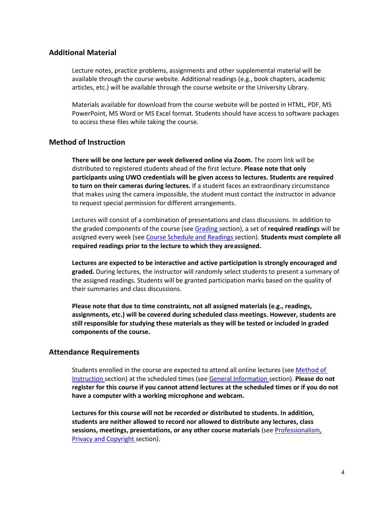# **Additional Material**

Lecture notes, practice problems, assignments and other supplemental material will be available through the course website. Additional readings (e.g., book chapters, academic articles, etc.) will be available through the course website or the University Library.

Materials available for download from the course website will be posted in HTML, PDF, MS PowerPoint, MS Word or MS Excel format. Students should have access to software packages to access these files while taking the course.

# <span id="page-3-0"></span>**Method of Instruction**

**There will be one lecture per week delivered online via Zoom.** The zoom link will be distributed to registered students ahead of the first lecture. **Please note that only participants using UWO credentials will be given access to lectures. Students are required to turn on their cameras during lectures.** If a student faces an extraordinary circumstance that makes using the camera impossible, the student must contact the instructor in advance to request special permission for different arrangements.

Lectures will consist of a combination of presentations and class discussions. In addition to the graded components of the course (se[e Grading s](#page-5-0)ection), a set of **required readings** will be assigned every week (see [Course Schedule and Readings s](#page-11-0)ection). **Students must complete all required readings prior to the lecture to which they areassigned.**

**Lectures are expected to be interactive and active participation is strongly encouraged and graded.** During lectures, the instructor will randomly select students to present a summary of the assigned readings. Students will be granted participation marks based on the quality of their summaries and class discussions.

**Please note that due to time constraints, not all assigned materials (e.g., readings, assignments, etc.) will be covered during scheduled class meetings. However, students are still responsible for studying these materials as they will be tested or included in graded components of the course.**

### <span id="page-3-1"></span>**Attendance Requirements**

Students enrolled in the course are expected to attend all online lectures (see [Method of](#page-3-0) [Instruction s](#page-3-0)ection) at the scheduled times (see [General Information s](#page-0-0)ection). **Please do not register for this course if you cannot attend lectures at the scheduled times or if you do not have a computer with a working microphone and webcam.**

**Lectures for this course will not be recorded or distributed to students. In addition, students are neither allowed to record nor allowed to distribute any lectures, class sessions, meetings, presentations, or any other course materials** (se[e Professionalism,](#page-10-0) [Privacy and](#page-10-0) Copyright section).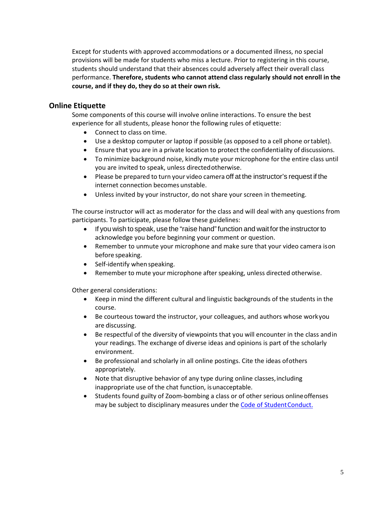Except for students with approved accommodations or a documented illness, no special provisions will be made for students who miss a lecture. Prior to registering in this course, students should understand that their absences could adversely affect their overall class performance. **Therefore, students who cannot attend class regularly should not enroll in the course, and if they do, they do so at their own risk.**

### **Online Etiquette**

Some components of this course will involve online interactions. To ensure the best experience for all students, please honor the following rules of etiquette:

- Connect to class on time.
- Use a desktop computer or laptop if possible (as opposed to a cell phone ortablet).
- Ensure that you are in a private location to protect the confidentiality of discussions.
- To minimize background noise, kindly mute your microphone for the entire class until you are invited to speak, unless directedotherwise.
- Please be prepared to turn your video camera off at the instructor's request if the internet connection becomes unstable.
- Unless invited by your instructor, do not share your screen in themeeting.

The course instructor will act as moderator for the class and will deal with any questions from participants. To participate, please follow these guidelines:

- If you wish to speak, use the "raise hand" function and wait for the instructor to acknowledge you before beginning your comment or question.
- Remember to unmute your microphone and make sure that your video camera ison before speaking.
- Self-identify when speaking.
- Remember to mute your microphone after speaking, unless directed otherwise.

Other general considerations:

- Keep in mind the different cultural and linguistic backgrounds of the students in the course.
- Be courteous toward the instructor, your colleagues, and authors whose workyou are discussing.
- Be respectful of the diversity of viewpoints that you will encounter in the class andin your readings. The exchange of diverse ideas and opinions is part of the scholarly environment.
- Be professional and scholarly in all online postings. Cite the ideas ofothers appropriately.
- Note that disruptive behavior of any type during online classes, including inappropriate use of the chat function, isunacceptable.
- Students found guilty of Zoom-bombing a class or of other serious onlineoffenses may be subject to disciplinary measures under the Code of Student Conduct.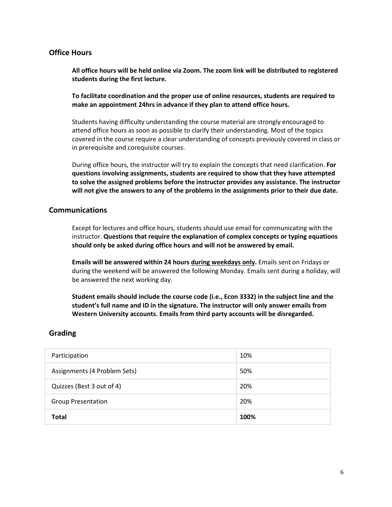# **Office Hours**

**All office hours will be held online via Zoom. The zoom link will be distributed to registered students during the first lecture.**

**To facilitate coordination and the proper use of online resources, students are required to make an appointment 24hrs in advance if they plan to attend office hours.**

Students having difficulty understanding the course material are strongly encouraged to attend office hours as soon as possible to clarify their understanding. Most of the topics covered in the course require a clear understanding of concepts previously covered in class or in prerequisite and corequisite courses.

During office hours, the instructor will try to explain the concepts that need clarification. **For questions involving assignments, students are required to show that they have attempted to solve the assigned problems before the instructor provides any assistance. The instructor will not give the answers to any of the problems in the assignments prior to their due date.**

# **Communications**

Except for lectures and office hours, students should use email for communicating with the instructor. **Questions that require the explanation of complex concepts or typing equations should only be asked during office hours and will not be answered by email.**

**Emails will be answered within 24 hours during weekdays only.** Emails sent on Fridays or during the weekend will be answered the following Monday. Emails sent during a holiday, will be answered the next working day.

**Student emails should include the course code (i.e., Econ 3332) in the subject line and the student's full name and ID in the signature. The instructor will only answer emails from Western University accounts. Emails from third party accounts will be disregarded.**

# <span id="page-5-0"></span>**Grading**

| Participation                | 10%  |
|------------------------------|------|
| Assignments (4 Problem Sets) | 50%  |
| Quizzes (Best 3 out of 4)    | 20%  |
| <b>Group Presentation</b>    | 20%  |
| <b>Total</b>                 | 100% |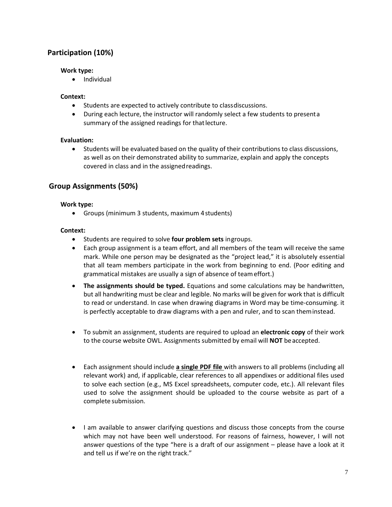# **Participation (10%)**

### **Work type:**

• Individual

### **Context:**

- Students are expected to actively contribute to classdiscussions.
- During each lecture, the instructor will randomly select a few students to presenta summary of the assigned readings for that lecture.

### **Evaluation:**

• Students will be evaluated based on the quality of their contributions to class discussions, as well as on their demonstrated ability to summarize, explain and apply the concepts covered in class and in the assignedreadings.

# **Group Assignments (50%)**

### **Work type:**

• Groups (minimum 3 students, maximum 4students)

# **Context:**

- Students are required to solve **four problem sets** ingroups.
- Each group assignment is a team effort, and all members of the team will receive the same mark. While one person may be designated as the "project lead," it is absolutely essential that all team members participate in the work from beginning to end. (Poor editing and grammatical mistakes are usually a sign of absence of teameffort.)
- **The assignments should be typed.** Equations and some calculations may be handwritten, but all handwriting must be clear and legible. No marks will be given for work that is difficult to read or understand. In case when drawing diagrams in Word may be time-consuming. it is perfectly acceptable to draw diagrams with a pen and ruler, and to scan theminstead.
- To submit an assignment, students are required to upload an **electronic copy** of their work to the course website OWL. Assignments submitted by email will **NOT** beaccepted.
- Each assignment should include **a single PDF file** with answers to all problems (including all relevant work) and, if applicable, clear references to all appendixes or additional files used to solve each section (e.g., MS Excel spreadsheets, computer code, etc.). All relevant files used to solve the assignment should be uploaded to the course website as part of a complete submission.
- I am available to answer clarifying questions and discuss those concepts from the course which may not have been well understood. For reasons of fairness, however, I will not answer questions of the type "here is a draft of our assignment – please have a look at it and tell us if we're on the right track."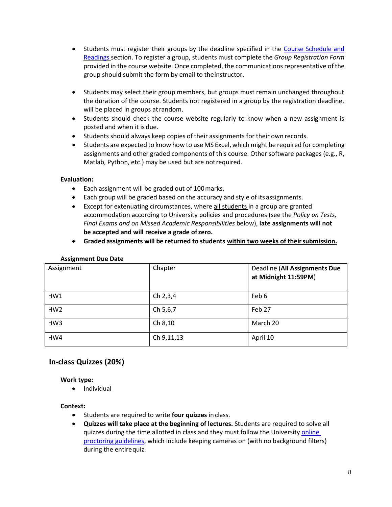- Students must register their groups by the deadline specified in the [Course Schedule and](#page-11-0)  [Readings](#page-11-0) section. To register a group, students must complete the *Group Registration Form*  provided in the course website. Once completed, the communications representative of the group should submit the form by email to theinstructor.
- Students may select their group members, but groups must remain unchanged throughout the duration of the course. Students not registered in a group by the registration deadline, will be placed in groups at random.
- Students should check the course website regularly to know when a new assignment is posted and when it is due.
- Students should always keep copies of their assignments for their own records.
- Students are expected to know how to use MS Excel, which might be required for completing assignments and other graded components of this course. Other software packages (e.g., R, Matlab, Python, etc.) may be used but are notrequired.

### **Evaluation:**

- Each assignment will be graded out of 100marks.
- Each group will be graded based on the accuracy and style of its assignments.
- Except for extenuating circumstances, where all students in a group are granted accommodation according to University policies and procedures (see the *Policy on Tests, Final Exams and on Missed Academic Responsibilities* below), **late assignments will not be accepted and will receive a grade ofzero.**
- **Graded assignments will be returned to students within two weeks of theirsubmission.**

| -<br>Assignment | Chapter    | Deadline (All Assignments Due<br>at Midnight 11:59PM) |
|-----------------|------------|-------------------------------------------------------|
| HW1             | Ch 2,3,4   | Feb 6                                                 |
| HW <sub>2</sub> | Ch 5,6,7   | Feb 27                                                |
| HW <sub>3</sub> | Ch 8,10    | March 20                                              |
| HW4             | Ch 9,11,13 | April 10                                              |

#### **Assignment Due Date**

# **In-class Quizzes (20%)**

### **Work type:**

• Individual

### **Context:**

- Students are required to write **four quizzes** in class.
- **Quizzes will take place at the beginning of lectures.** Students are required to solve all quizzes during the time allotted in class and they must follow the University online [proctoring guidelines,](https://www.uwo.ca/univsec/pdf/onlineproctorguidelines.pdf) which include keeping cameras on (with no background filters) during the entirequiz.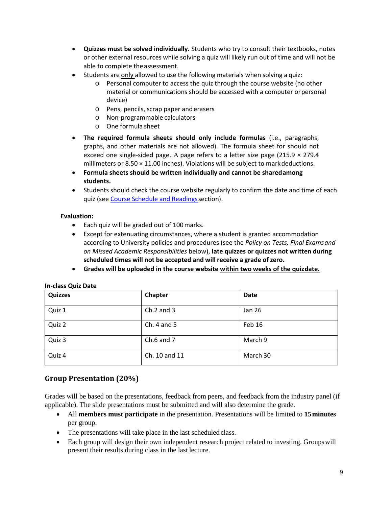- **Quizzes must be solved individually.** Students who try to consult their textbooks, notes or other external resources while solving a quiz will likely run out of time and will not be able to complete theassessment.
- Students are only allowed to use the following materials when solving a quiz:
	- o Personal computer to access the quiz through the course website (no other material or communications should be accessed with a computer orpersonal device)
	- o Pens, pencils, scrap paper anderasers
	- o Non-programmable calculators
	- o One formula sheet
- **The required formula sheets should only include formulas** (i.e., paragraphs, graphs, and other materials are not allowed). The formula sheet for should not exceed one single-sided page. A page refers to a letter size page (215.9  $\times$  279.4 millimeters or  $8.50 \times 11.00$  inches). Violations will be subject to mark deductions.
- **Formula sheets should be written individually and cannot be sharedamong students.**
- Students should check the course website regularly to confirm the date and time of each quiz (se[e Course Schedule and Readingss](#page-11-0)ection).

# **Evaluation:**

- Each quiz will be graded out of 100marks.
- Except for extenuating circumstances, where a student is granted accommodation according to University policies and procedures (see the *Policy on Tests, Final Examsand on Missed Academic Responsibilities* below), **late quizzes or quizzes not written during scheduled times will not be accepted and will receive a grade ofzero.**
- **Grades will be uploaded in the course website within two weeks of the quizdate.**

| <b>Quizzes</b> | Chapter         | <b>Date</b> |
|----------------|-----------------|-------------|
| Quiz 1         | $Ch.2$ and 3    | Jan 26      |
| Quiz 2         | Ch. $4$ and $5$ | Feb 16      |
| Quiz 3         | Ch. $6$ and $7$ | March 9     |
| Quiz 4         | Ch. 10 and 11   | March 30    |

### **In-class Quiz Date**

# **Group Presentation (20%)**

Grades will be based on the presentations, feedback from peers, and feedback from the industry panel (if applicable). The slide presentations must be submitted and will also determine the grade.

- All **members must participate** in the presentation. Presentations will be limited to **15minutes** per group.
- The presentations will take place in the last scheduled class.
- Each group will design their own independent research project related to investing. Groupswill present their results during class in the last lecture.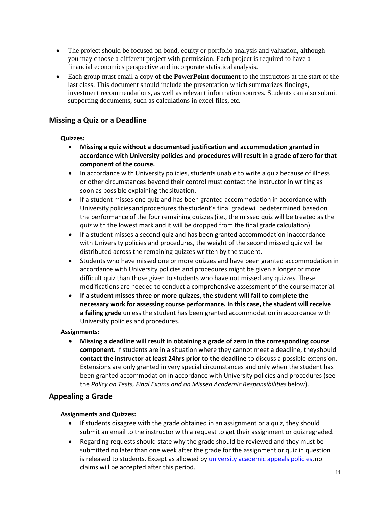- The project should be focused on bond, equity or portfolio analysis and valuation, although you may choose a different project with permission. Each project is required to have a financial economics perspective and incorporate statistical analysis.
- Each group must email a copy **of the PowerPoint document** to the instructors at the start of the last class. This document should include the presentation which summarizes findings, investment recommendations, as well as relevant information sources. Students can also submit supporting documents, such as calculations in excel files, etc.

# **Missing a Quiz or a Deadline**

# **Quizzes:**

- **Missing a quiz without a documented justification and accommodation granted in accordance with University policies and procedures will result in a grade of zero for that component of the course.**
- In accordance with University policies, students unable to write a quiz because of illness or other circumstances beyond their control must contact the instructor in writing as soon as possible explaining thesituation.
- If a student misses one quiz and has been granted accommodation in accordance with University policies and procedures, the student's final grade will be determined based on the performance of the four remaining quizzes (i.e., the missed quiz will be treated as the quiz with the lowest mark and it will be dropped from the final grade calculation).
- If a student misses a second quiz and has been granted accommodation inaccordance with University policies and procedures, the weight of the second missed quiz will be distributed across the remaining quizzes written by the student.
- Students who have missed one or more quizzes and have been granted accommodation in accordance with University policies and procedures might be given a longer or more difficult quiz than those given to students who have not missed any quizzes. These modifications are needed to conduct a comprehensive assessment of the course material.
- **If a student misses three or more quizzes, the student will fail to complete the necessary work for assessing course performance. In this case, the student will receive a failing grade** unless the student has been granted accommodation in accordance with University policies and procedures.

# **Assignments:**

• **Missing a deadline will result in obtaining a grade of zero in the corresponding course component.** If students are in a situation where they cannot meet a deadline, theyshould **contact the instructor at least 24hrs prior to the deadline** to discuss a possible extension. Extensions are only granted in very special circumstances and only when the student has been granted accommodation in accordance with University policies and procedures (see the *Policy on Tests, Final Exams and on Missed Academic Responsibilities* below).

# **Appealing a Grade**

# **Assignments and Quizzes:**

- If students disagree with the grade obtained in an assignment or a quiz, they should submit an email to the instructor with a request to get their assignment or quizregraded.
- Regarding requests should state why the grade should be reviewed and they must be submitted no later than one week after the grade for the assignment or quiz in question is released to students. Except as allowed by [university academic appeals policies,n](https://www.uwo.ca/univsec/pdf/academic_policies/appeals/appealsundergrad.pdf)o claims will be accepted after this period.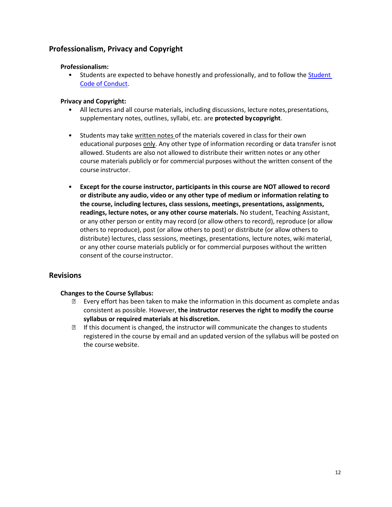# <span id="page-10-0"></span>**Professionalism, Privacy and Copyright**

### **Professionalism:**

• Students are expected to behave honestly and professionally, and to follow th[e Student](https://www.uwo.ca/univsec/pdf/board/code.pdf)  Code of [Conduct.](https://www.uwo.ca/univsec/pdf/board/code.pdf)

# **Privacy and Copyright:**

- All lectures and all course materials, including discussions, lecture notes,presentations, supplementary notes, outlines, syllabi, etc. are **protected bycopyright**.
- Students may take written notes of the materials covered in class for their own educational purposes only. Any other type of information recording or data transfer isnot allowed. Students are also not allowed to distribute their written notes or any other course materials publicly or for commercial purposes without the written consent of the course instructor.
- **Except for the course instructor, participants in this course are NOT allowed to record or distribute any audio, video or any other type of medium or information relating to the course, including lectures, class sessions, meetings, presentations, assignments, readings, lecture notes, or any other course materials.** No student, Teaching Assistant, or any other person or entity may record (or allow others to record), reproduce (or allow others to reproduce), post (or allow others to post) or distribute (or allow others to distribute) lectures, class sessions, meetings, presentations, lecture notes, wiki material, or any other course materials publicly or for commercial purposes without the written consent of the course instructor.

# **Revisions**

### **Changes to the Course Syllabus:**

- Every effort has been taken to make the information in this document as complete andas consistent as possible. However, **the instructor reserves the right to modify the course syllabus or required materials at hisdiscretion.**
- **If this document is changed, the instructor will communicate the changes to students** registered in the course by email and an updated version of the syllabus will be posted on the course website.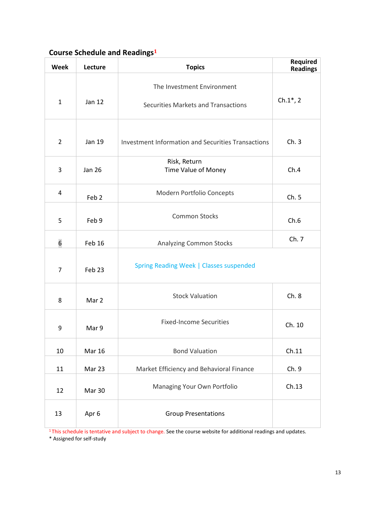# <span id="page-11-0"></span>**Course Schedule and Readings<sup>1</sup>**

| <b>Week</b>    | Lecture          | <b>Topics</b>                                                     | Required<br><b>Readings</b> |
|----------------|------------------|-------------------------------------------------------------------|-----------------------------|
| $\mathbf{1}$   | Jan 12           | The Investment Environment<br>Securities Markets and Transactions | $Ch.1*, 2$                  |
| $\overline{2}$ | Jan 19           | <b>Investment Information and Securities Transactions</b>         | Ch.3                        |
| 3              | <b>Jan 26</b>    | Risk, Return<br>Time Value of Money                               | Ch.4                        |
| 4              | Feb <sub>2</sub> | Modern Portfolio Concepts                                         | Ch.5                        |
| 5              | Feb 9            | <b>Common Stocks</b>                                              | Ch.6                        |
| 6              | Feb 16           | <b>Analyzing Common Stocks</b>                                    | Ch. 7                       |
| $\overline{7}$ | Feb 23           | Spring Reading Week   Classes suspended                           |                             |
| 8              | Mar 2            | <b>Stock Valuation</b>                                            | Ch.8                        |
| 9              | Mar 9            | <b>Fixed-Income Securities</b>                                    | Ch. 10                      |
| 10             | <b>Mar 16</b>    | <b>Bond Valuation</b>                                             | Ch.11                       |
| 11             | Mar 23           | Market Efficiency and Behavioral Finance                          | Ch.9                        |
| 12             | Mar 30           | Managing Your Own Portfolio                                       | Ch.13                       |
| 13             | Apr 6            | <b>Group Presentations</b>                                        |                             |

<sup>1</sup>This schedule is tentative and subject to change. See the course website for additional readings and updates.

\* Assigned for self-study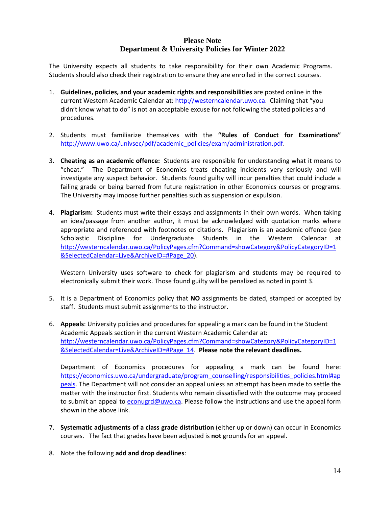# **Please Note Department & University Policies for Winter 2022**

The University expects all students to take responsibility for their own Academic Programs. Students should also check their registration to ensure they are enrolled in the correct courses.

- 1. **Guidelines, policies, and your academic rights and responsibilities** are posted online in the current Western Academic Calendar at[: http://westerncalendar.uwo.ca.](http://westerncalendar.uwo.ca/) Claiming that "you didn't know what to do" is not an acceptable excuse for not following the stated policies and procedures.
- 2. Students must familiarize themselves with the **"Rules of Conduct for Examinations"** [http://www.uwo.ca/univsec/pdf/academic\\_policies/exam/administration.pdf.](http://www.uwo.ca/univsec/pdf/academic_policies/exam/administration.pdf)
- 3. **Cheating as an academic offence:** Students are responsible for understanding what it means to "cheat." The Department of Economics treats cheating incidents very seriously and will investigate any suspect behavior. Students found guilty will incur penalties that could include a failing grade or being barred from future registration in other Economics courses or programs. The University may impose further penalties such as suspension or expulsion.
- 4. **Plagiarism:** Students must write their essays and assignments in their own words. When taking an idea/passage from another author, it must be acknowledged with quotation marks where appropriate and referenced with footnotes or citations. Plagiarism is an academic offence (see Scholastic Discipline for Undergraduate Students in the Western Calendar [http://westerncalendar.uwo.ca/PolicyPages.cfm?Command=showCategory&PolicyCategoryID=1](http://westerncalendar.uwo.ca/PolicyPages.cfm?Command=showCategory&PolicyCategoryID=1&SelectedCalendar=Live&ArchiveID=#Page_20) [&SelectedCalendar=Live&ArchiveID=#Page\\_20\)](http://westerncalendar.uwo.ca/PolicyPages.cfm?Command=showCategory&PolicyCategoryID=1&SelectedCalendar=Live&ArchiveID=#Page_20).

Western University uses software to check for plagiarism and students may be required to electronically submit their work. Those found guilty will be penalized as noted in point 3.

- 5. It is a Department of Economics policy that **NO** assignments be dated, stamped or accepted by staff. Students must submit assignments to the instructor.
- 6. **Appeals**: University policies and procedures for appealing a mark can be found in the Student Academic Appeals section in the current Western Academic Calendar at: [http://westerncalendar.uwo.ca/PolicyPages.cfm?Command=showCategory&PolicyCategoryID=1](http://westerncalendar.uwo.ca/PolicyPages.cfm?Command=showCategory&PolicyCategoryID=1&SelectedCalendar=Live&ArchiveID=#Page_14) [&SelectedCalendar=Live&ArchiveID=#Page\\_14.](http://westerncalendar.uwo.ca/PolicyPages.cfm?Command=showCategory&PolicyCategoryID=1&SelectedCalendar=Live&ArchiveID=#Page_14) **Please note the relevant deadlines.**

Department of Economics procedures for appealing a mark can be found here: [https://economics.uwo.ca/undergraduate/program\\_counselling/responsibilities\\_policies.html#ap](https://economics.uwo.ca/undergraduate/program_counselling/responsibilities_policies.html#appeals) [peals.](https://economics.uwo.ca/undergraduate/program_counselling/responsibilities_policies.html#appeals) The Department will not consider an appeal unless an attempt has been made to settle the matter with the instructor first. Students who remain dissatisfied with the outcome may proceed to submit an appeal to **econugrd@uwo.ca**. Please follow the instructions and use the appeal form shown in the above link.

- 7. **Systematic adjustments of a class grade distribution** (either up or down) can occur in Economics courses. The fact that grades have been adjusted is **not** grounds for an appeal.
- 8. Note the following **add and drop deadlines**: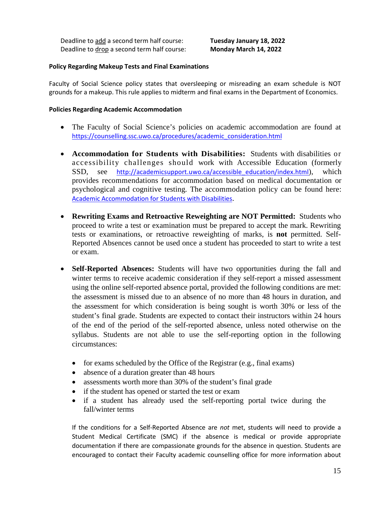Deadline to add a second term half course: **Tuesday January 18, 2022** Deadline to drop a second term half course: **Monday March 14, 2022**

#### **Policy Regarding Makeup Tests and Final Examinations**

Faculty of Social Science policy states that oversleeping or misreading an exam schedule is NOT grounds for a makeup. This rule applies to midterm and final exams in the Department of Economics.

#### **Policies Regarding Academic Accommodation**

- The Faculty of Social Science's policies on academic accommodation are found at [https://counselling.ssc.uwo.ca/procedures/academic\\_consideration.html](https://counselling.ssc.uwo.ca/procedures/academic_consideration.html)
- **Accommodation for Students with Disabilities:** Students with disabilities or accessibility challenges should work with Accessible Education (formerly SSD, see [http://academicsupport.uwo.ca/accessible\\_education/index.html](http://academicsupport.uwo.ca/accessible_education/index.html)), which provides recommendations for accommodation based on medical documentation or psychological and cognitive testing. The accommodation policy can be found here: [Academic Accommodation for Students with Disabilities](https://www.uwo.ca/univsec/pdf/academic_policies/appeals/Academic%20Accommodation_disabilities.pdf).
- **Rewriting Exams and Retroactive Reweighting are NOT Permitted:** Students who proceed to write a test or examination must be prepared to accept the mark. Rewriting tests or examinations, or retroactive reweighting of marks, is **not** permitted. Self-Reported Absences cannot be used once a student has proceeded to start to write a test or exam.
- **Self-Reported Absences:** Students will have two opportunities during the fall and winter terms to receive academic consideration if they self-report a missed assessment using the online self-reported absence portal, provided the following conditions are met: the assessment is missed due to an absence of no more than 48 hours in duration, and the assessment for which consideration is being sought is worth 30% or less of the student's final grade. Students are expected to contact their instructors within 24 hours of the end of the period of the self-reported absence, unless noted otherwise on the syllabus. Students are not able to use the self-reporting option in the following circumstances:
	- for exams scheduled by the Office of the Registrar (e.g., final exams)
	- absence of a duration greater than 48 hours
	- assessments worth more than 30% of the student's final grade
	- if the student has opened or started the test or exam
	- if a student has already used the self-reporting portal twice during the fall/winter terms

If the conditions for a Self-Reported Absence are *not* met, students will need to provide a Student Medical Certificate (SMC) if the absence is medical or provide appropriate documentation if there are compassionate grounds for the absence in question. Students are encouraged to contact their Faculty academic counselling office for more information about